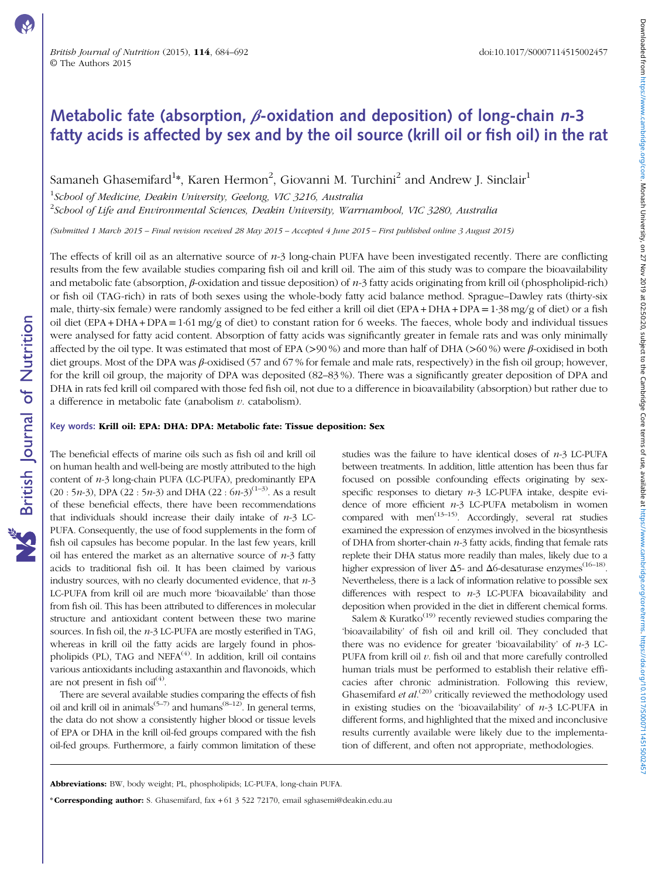# Metabolic fate (absorption,  $\beta$ -oxidation and deposition) of long-chain n-3 fatty acids is affected by sex and by the oil source (krill oil or fish oil) in the rat

Samaneh Ghasemifard $^{1*}$ , Karen Hermon $^{2}$ , Giovanni M. Turchini $^{2}$  and Andrew J. Sinclair $^{1}$ 

<sup>1</sup>School of Medicine, Deakin University, Geelong, VIC 3216, Australia  $^2$ School of Life and Environmental Sciences, Deakin University, Warrnambool, VIC 3280, Australia

(Submitted 1 March 2015 – Final revision received 28 May 2015 – Accepted 4 June 2015 – First published online 3 August 2015)

The effects of krill oil as an alternative source of  $n-3$  long-chain PUFA have been investigated recently. There are conflicting results from the few available studies comparing fish oil and krill oil. The aim of this study was to compare the bioavailability and metabolic fate (absorption,  $\beta$ -oxidation and tissue deposition) of  $n-3$  fatty acids originating from krill oil (phospholipid-rich) or fish oil (TAG-rich) in rats of both sexes using the whole-body fatty acid balance method. Sprague–Dawley rats (thirty-six male, thirty-six female) were randomly assigned to be fed either a krill oil diet (EPA + DHA + DPA =1·38 mg/g of diet) or a fish oil diet  $(EPA + DHA + DPA = 1.61$  mg/g of diet) to constant ration for 6 weeks. The faeces, whole body and individual tissues were analysed for fatty acid content. Absorption of fatty acids was significantly greater in female rats and was only minimally affected by the oil type. It was estimated that most of EPA (>90 %) and more than half of DHA (>60 %) were  $\beta$ -oxidised in both diet groups. Most of the DPA was β-oxidised (57 and 67 % for female and male rats, respectively) in the fish oil group; however, for the krill oil group, the majority of DPA was deposited (82–83 %). There was a significantly greater deposition of DPA and DHA in rats fed krill oil compared with those fed fish oil, not due to a difference in bioavailability (absorption) but rather due to a difference in metabolic fate (anabolism  $\nu$ , catabolism).

### Key words: Krill oil: EPA: DHA: DPA: Metabolic fate: Tissue deposition: Sex

The beneficial effects of marine oils such as fish oil and krill oil on human health and well-being are mostly attributed to the high content of  $n-3$  long-chain PUFA (LC-PUFA), predominantly EPA  $(20:5n-3)$  $(20:5n-3)$ , DPA  $(22:5n-3)$  and DHA  $(22:6n-3)^{(1-3)}$  $(22:6n-3)^{(1-3)}$  $(22:6n-3)^{(1-3)}$ . As a result of these beneficial effects, there have been recommendations that individuals should increase their daily intake of  $n-3$  LC-PUFA. Consequently, the use of food supplements in the form of fish oil capsules has become popular. In the last few years, krill oil has entered the market as an alternative source of  $n-3$  fatty acids to traditional fish oil. It has been claimed by various industry sources, with no clearly documented evidence, that  $n-3$ LC-PUFA from krill oil are much more 'bioavailable' than those from fish oil. This has been attributed to differences in molecular structure and antioxidant content between these two marine sources. In fish oil, the  $n-3$  LC-PUFA are mostly esterified in TAG, whereas in krill oil the fatty acids are largely found in phos-pholipids (PL), TAG and NEFA<sup>[\(4](#page-7-0))</sup>. In addition, krill oil contains various antioxidants including astaxanthin and flavonoids, which are not present in fish oil $(4)$  $(4)$  $(4)$ .

**NS** British Journal of Nutrition

There are several available studies comparing the effects of fish oil and krill oil in animals<sup>[\(5](#page-7-0)–[7\)](#page-7-0)</sup> and humans<sup>[\(8](#page-7-0)–[12](#page-8-0))</sup>. In general terms, the data do not show a consistently higher blood or tissue levels of EPA or DHA in the krill oil-fed groups compared with the fish oil-fed groups. Furthermore, a fairly common limitation of these

studies was the failure to have identical doses of  $n-3$  LC-PUFA between treatments. In addition, little attention has been thus far focused on possible confounding effects originating by sexspecific responses to dietary  $n-3$  LC-PUFA intake, despite evidence of more efficient  $n-3$  LC-PUFA metabolism in women compared with men<sup> $(13-15)$  $(13-15)$  $(13-15)$  $(13-15)$ </sup>. Accordingly, several rat studies examined the expression of enzymes involved in the biosynthesis of DHA from shorter-chain  $n-3$  fatty acids, finding that female rats replete their DHA status more readily than males, likely due to a higher expression of liver  $\Delta$ 5- and  $\Delta$ 6-desaturase enzymes<sup>([16](#page-8-0)–[18\)](#page-8-0)</sup>. Nevertheless, there is a lack of information relative to possible sex differences with respect to  $n-3$  LC-PUFA bioavailability and deposition when provided in the diet in different chemical forms.

Salem & Kuratko<sup>([19](#page-8-0))</sup> recently reviewed studies comparing the 'bioavailability' of fish oil and krill oil. They concluded that there was no evidence for greater 'bioavailability' of  $n-3$  LC-PUFA from krill oil  $v$ . fish oil and that more carefully controlled human trials must be performed to establish their relative efficacies after chronic administration. Following this review, Ghasemifard et al.<sup>[\(20\)](#page-8-0)</sup> critically reviewed the methodology used in existing studies on the 'bioavailability' of  $n-3$  LC-PUFA in different forms, and highlighted that the mixed and inconclusive results currently available were likely due to the implementation of different, and often not appropriate, methodologies.

Abbreviations: BW, body weight; PL, phospholipids; LC-PUFA, long-chain PUFA.

\*Corresponding author: S. Ghasemifard, fax + 61 3 522 72170, email sghasemi@deakin.edu.au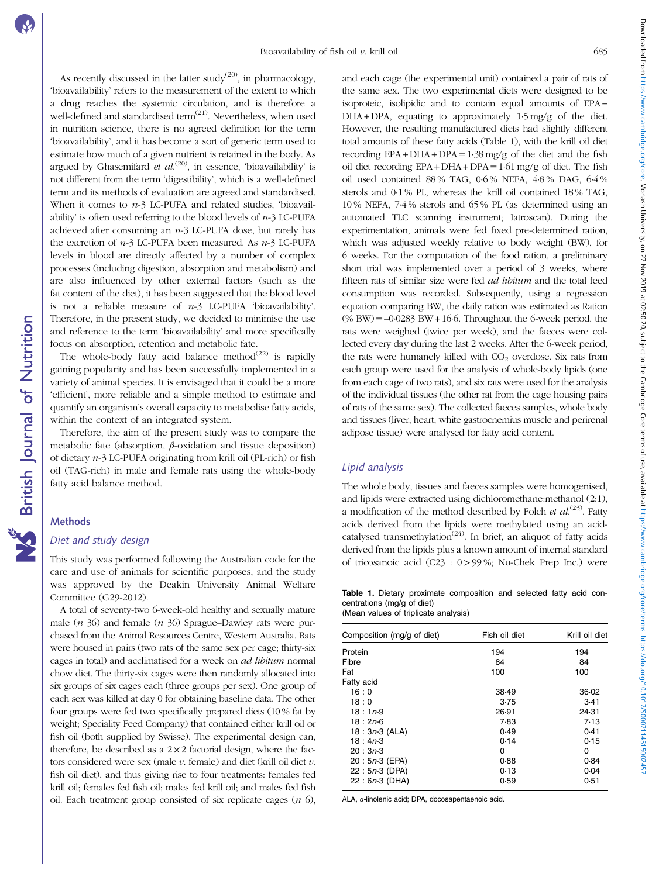Downloaded from https://www.cambridge.org/core. Monash University, on 27 Nov 2019 at 02:50:20, subject to the Cambridge Core terms of use, available at https://www.cambridge.org/core/terms. https://ds/100711451500245 Downloaded from https://www.cambridge.org/core. Monash University, on 27 Nov 2019 at 02:50:20, subject to the Cambridge Core terms of use, available at https://www.cambridge.org/core/terms. https://doi.org/10.1017/S0007114515002457

As recently discussed in the latter study<sup>([20](#page-8-0))</sup>, in pharmacology, 'bioavailability' refers to the measurement of the extent to which a drug reaches the systemic circulation, and is therefore a well-defined and standardised term<sup>([21](#page-8-0))</sup>. Nevertheless, when used in nutrition science, there is no agreed definition for the term 'bioavailability', and it has become a sort of generic term used to estimate how much of a given nutrient is retained in the body. As argued by Ghasemifard et  $al^{(20)}$  $al^{(20)}$  $al^{(20)}$ , in essence, 'bioavailability' is not different from the term 'digestibility', which is a well-defined term and its methods of evaluation are agreed and standardised. When it comes to  $n-3$  LC-PUFA and related studies, 'bioavailability' is often used referring to the blood levels of  $n-3$  LC-PUFA achieved after consuming an  $n-3$  LC-PUFA dose, but rarely has the excretion of  $n-3$  LC-PUFA been measured. As  $n-3$  LC-PUFA levels in blood are directly affected by a number of complex processes (including digestion, absorption and metabolism) and are also influenced by other external factors (such as the fat content of the diet), it has been suggested that the blood level is not a reliable measure of  $n-3$  LC-PUFA 'bioavailability'. Therefore, in the present study, we decided to minimise the use and reference to the term 'bioavailability' and more specifically focus on absorption, retention and metabolic fate.

The whole-body fatty acid balance method $(22)$  $(22)$  $(22)$  is rapidly gaining popularity and has been successfully implemented in a variety of animal species. It is envisaged that it could be a more 'efficient', more reliable and a simple method to estimate and quantify an organism's overall capacity to metabolise fatty acids, within the context of an integrated system.

Therefore, the aim of the present study was to compare the metabolic fate (absorption,  $\beta$ -oxidation and tissue deposition) of dietary n-3 LC-PUFA originating from krill oil (PL-rich) or fish oil (TAG-rich) in male and female rats using the whole-body fatty acid balance method.

### **Methods**

### Diet and study design

This study was performed following the Australian code for the care and use of animals for scientific purposes, and the study was approved by the Deakin University Animal Welfare Committee (G29-2012).

A total of seventy-two 6-week-old healthy and sexually mature male  $(n \, 36)$  and female  $(n \, 36)$  Sprague–Dawley rats were purchased from the Animal Resources Centre, Western Australia. Rats were housed in pairs (two rats of the same sex per cage; thirty-six cages in total) and acclimatised for a week on ad libitum normal chow diet. The thirty-six cages were then randomly allocated into six groups of six cages each (three groups per sex). One group of each sex was killed at day 0 for obtaining baseline data. The other four groups were fed two specifically prepared diets (10 % fat by weight; Speciality Feed Company) that contained either krill oil or fish oil (both supplied by Swisse). The experimental design can, therefore, be described as a  $2 \times 2$  factorial design, where the factors considered were sex (male  $v$ . female) and diet (krill oil diet  $v$ . fish oil diet), and thus giving rise to four treatments: females fed krill oil; females fed fish oil; males fed krill oil; and males fed fish oil. Each treatment group consisted of six replicate cages  $(n\ 6)$ ,

and each cage (the experimental unit) contained a pair of rats of the same sex. The two experimental diets were designed to be isoproteic, isolipidic and to contain equal amounts of EPA +  $DHA + DPA$ , equating to approximately  $1.5 \text{ mg/g}$  of the diet. However, the resulting manufactured diets had slightly different total amounts of these fatty acids (Table 1), with the krill oil diet recording  $EPA + DHA + DPA = 1.38$  mg/g of the diet and the fish oil diet recording  $EPA + DHA + DPA = 1.61$  mg/g of diet. The fish oil used contained 88 % TAG, 0·6 % NEFA, 4·8 % DAG, 6·4 % sterols and 0·1 % PL, whereas the krill oil contained 18 % TAG, 10 % NEFA, 7·4 % sterols and 65 % PL (as determined using an automated TLC scanning instrument; Iatroscan). During the experimentation, animals were fed fixed pre-determined ration, which was adjusted weekly relative to body weight (BW), for 6 weeks. For the computation of the food ration, a preliminary short trial was implemented over a period of 3 weeks, where fifteen rats of similar size were fed *ad libitum* and the total feed consumption was recorded. Subsequently, using a regression equation comparing BW, the daily ration was estimated as Ration  $(\%$  BW $) = -0.0283$  BW $+16.6$ . Throughout the 6-week period, the rats were weighed (twice per week), and the faeces were collected every day during the last 2 weeks. After the 6-week period, the rats were humanely killed with  $CO<sub>2</sub>$  overdose. Six rats from each group were used for the analysis of whole-body lipids (one from each cage of two rats), and six rats were used for the analysis of the individual tissues (the other rat from the cage housing pairs of rats of the same sex). The collected faeces samples, whole body and tissues (liver, heart, white gastrocnemius muscle and perirenal adipose tissue) were analysed for fatty acid content.

### Lipid analysis

The whole body, tissues and faeces samples were homogenised, and lipids were extracted using dichloromethane:methanol (2:1), a modification of the method described by Folch  $et$   $al.^{(23)}$  $al.^{(23)}$  $al.^{(23)}$ . Fatty acids derived from the lipids were methylated using an acid-catalysed transmethylation<sup>([24](#page-8-0))</sup>. In brief, an aliquot of fatty acids derived from the lipids plus a known amount of internal standard of tricosanoic acid (C23 : 0>99 %; Nu-Chek Prep Inc.) were

Table 1. Dietary proximate composition and selected fatty acid concentrations (mg/g of diet)

|  |  | (Mean values of triplicate analysis) |  |  |
|--|--|--------------------------------------|--|--|
|  |  |                                      |  |  |

| Composition (mg/g of diet) | Fish oil diet | Krill oil diet |  |  |
|----------------------------|---------------|----------------|--|--|
| Protein                    | 194           | 194            |  |  |
| Fibre                      | 84            | 84             |  |  |
| Fat                        | 100           | 100            |  |  |
| Fatty acid                 |               |                |  |  |
| 16:0                       | 38.49         | 36.02          |  |  |
| 18:0                       | 3.75          | 3.41           |  |  |
| $18:1n-9$                  | 26.91         | 24.31          |  |  |
| $18:2n-6$                  | 7.83          | 7.13           |  |  |
| $18: 3n-3$ (ALA)           | 0.49          | 0.41           |  |  |
| $18:4n-3$                  | 0.14          | 0.15           |  |  |
| $20:3n-3$                  | 0             | 0              |  |  |
| 20: 5n-3 (EPA)             | 0.88          | 0.84           |  |  |
| $22: 5n-3$ (DPA)           | 0.13          | 0.04           |  |  |
| 22:6n-3 (DHA)              | 0.59          | 0.51           |  |  |

ALA, α-linolenic acid; DPA, docosapentaenoic acid.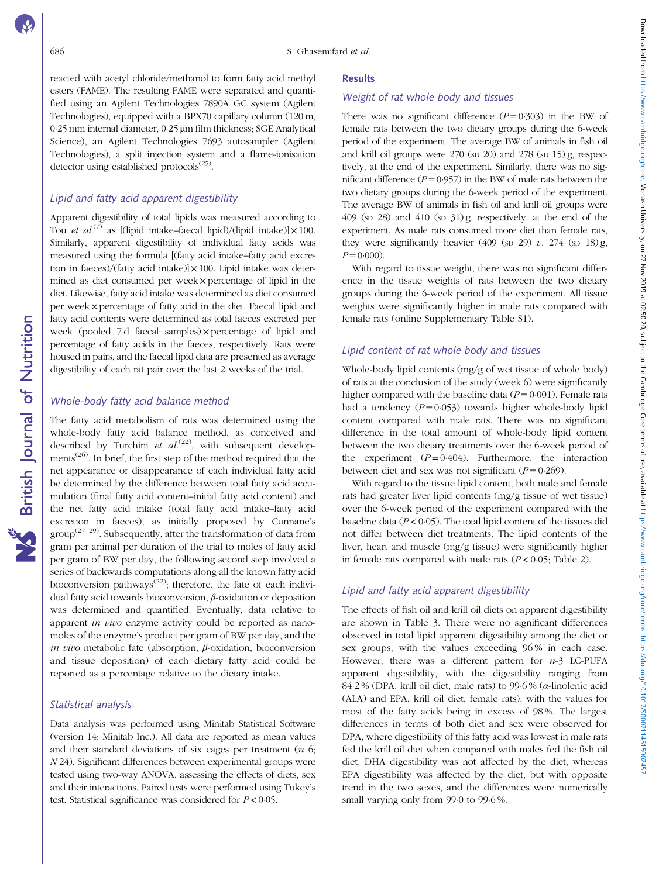reacted with acetyl chloride/methanol to form fatty acid methyl esters (FAME). The resulting FAME were separated and quantified using an Agilent Technologies 7890A GC system (Agilent Technologies), equipped with a BPX70 capillary column (120 m, 0·25 mm internal diameter, 0·25 µm film thickness; SGE Analytical Science), an Agilent Technologies 7693 autosampler (Agilent Technologies), a split injection system and a flame-ionisation detector using established protocols<sup> $(25)$ </sup>.

### Lipid and fatty acid apparent digestibility

Apparent digestibility of total lipids was measured according to Tou et  $al^{(7)}$  $al^{(7)}$  $al^{(7)}$  as [(lipid intake–faecal lipid)/(lipid intake)]  $\times 100$ . Similarly, apparent digestibility of individual fatty acids was measured using the formula [(fatty acid intake–fatty acid excretion in faeces)/(fatty acid intake)] $\times 100$ . Lipid intake was determined as diet consumed per week×percentage of lipid in the diet. Likewise, fatty acid intake was determined as diet consumed per week×percentage of fatty acid in the diet. Faecal lipid and fatty acid contents were determined as total faeces excreted per week (pooled 7 d faecal samples)×percentage of lipid and percentage of fatty acids in the faeces, respectively. Rats were housed in pairs, and the faecal lipid data are presented as average digestibility of each rat pair over the last 2 weeks of the trial.

### Whole-body fatty acid balance method

The fatty acid metabolism of rats was determined using the whole-body fatty acid balance method, as conceived and described by Turchini et  $al^{(22)}$  $al^{(22)}$  $al^{(22)}$ , with subsequent develop-ments<sup>[\(26](#page-8-0))</sup>. In brief, the first step of the method required that the net appearance or disappearance of each individual fatty acid be determined by the difference between total fatty acid accumulation (final fatty acid content–initial fatty acid content) and the net fatty acid intake (total fatty acid intake–fatty acid excretion in faeces), as initially proposed by Cunnane's  $\text{group}^{(27-29)}$  $\text{group}^{(27-29)}$  $\text{group}^{(27-29)}$  $\text{group}^{(27-29)}$  $\text{group}^{(27-29)}$ . Subsequently, after the transformation of data from gram per animal per duration of the trial to moles of fatty acid per gram of BW per day, the following second step involved a series of backwards computations along all the known fatty acid bioconversion pathways<sup>[\(22\)](#page-8-0)</sup>; therefore, the fate of each individual fatty acid towards bioconversion, β-oxidation or deposition was determined and quantified. Eventually, data relative to apparent in vivo enzyme activity could be reported as nanomoles of the enzyme's product per gram of BW per day, and the in vivo metabolic fate (absorption,  $\beta$ -oxidation, bioconversion and tissue deposition) of each dietary fatty acid could be reported as a percentage relative to the dietary intake.

### Statistical analysis

Data analysis was performed using Minitab Statistical Software (version 14; Minitab Inc.). All data are reported as mean values and their standard deviations of six cages per treatment  $(n, 6)$ ; N 24). Significant differences between experimental groups were tested using two-way ANOVA, assessing the effects of diets, sex and their interactions. Paired tests were performed using Tukey's test. Statistical significance was considered for  $P < 0.05$ .

### **Results**

### Weight of rat whole body and tissues

There was no significant difference  $(P=0.303)$  in the BW of female rats between the two dietary groups during the 6-week period of the experiment. The average BW of animals in fish oil and krill oil groups were 270 (sp 20) and 278 (sp 15) g, respectively, at the end of the experiment. Similarly, there was no significant difference  $(P=0.957)$  in the BW of male rats between the two dietary groups during the 6-week period of the experiment. The average BW of animals in fish oil and krill oil groups were 409 (SD 28) and 410 (SD 31) g, respectively, at the end of the experiment. As male rats consumed more diet than female rats, they were significantly heavier (409 (sp 29) v. 274 (sp 18) g,  $P=0.000$ ).

With regard to tissue weight, there was no significant difference in the tissue weights of rats between the two dietary groups during the 6-week period of the experiment. All tissue weights were significantly higher in male rats compared with female rats (online Supplementary Table S1).

### Lipid content of rat whole body and tissues

Whole-body lipid contents (mg/g of wet tissue of whole body) of rats at the conclusion of the study (week 6) were significantly higher compared with the baseline data ( $P = 0.001$ ). Female rats had a tendency  $(P=0.053)$  towards higher whole-body lipid content compared with male rats. There was no significant difference in the total amount of whole-body lipid content between the two dietary treatments over the 6-week period of the experiment  $(P= 0.404)$ . Furthermore, the interaction between diet and sex was not significant ( $P = 0.269$ ).

With regard to the tissue lipid content, both male and female rats had greater liver lipid contents (mg/g tissue of wet tissue) over the 6-week period of the experiment compared with the baseline data ( $P < 0.05$ ). The total lipid content of the tissues did not differ between diet treatments. The lipid contents of the liver, heart and muscle (mg/g tissue) were significantly higher in female rats compared with male rats  $(P < 0.05$ ; [Table 2](#page-3-0)).

### Lipid and fatty acid apparent digestibility

The effects of fish oil and krill oil diets on apparent digestibility are shown in [Table 3.](#page-3-0) There were no significant differences observed in total lipid apparent digestibility among the diet or sex groups, with the values exceeding 96 % in each case. However, there was a different pattern for  $n-3$  LC-PUFA apparent digestibility, with the digestibility ranging from  $84.2\%$  (DPA, krill oil diet, male rats) to 99.6% ( $\alpha$ -linolenic acid (ALA) and EPA, krill oil diet, female rats), with the values for most of the fatty acids being in excess of 98 %. The largest differences in terms of both diet and sex were observed for DPA, where digestibility of this fatty acid was lowest in male rats fed the krill oil diet when compared with males fed the fish oil diet. DHA digestibility was not affected by the diet, whereas EPA digestibility was affected by the diet, but with opposite trend in the two sexes, and the differences were numerically small varying only from 99·0 to 99·6 %.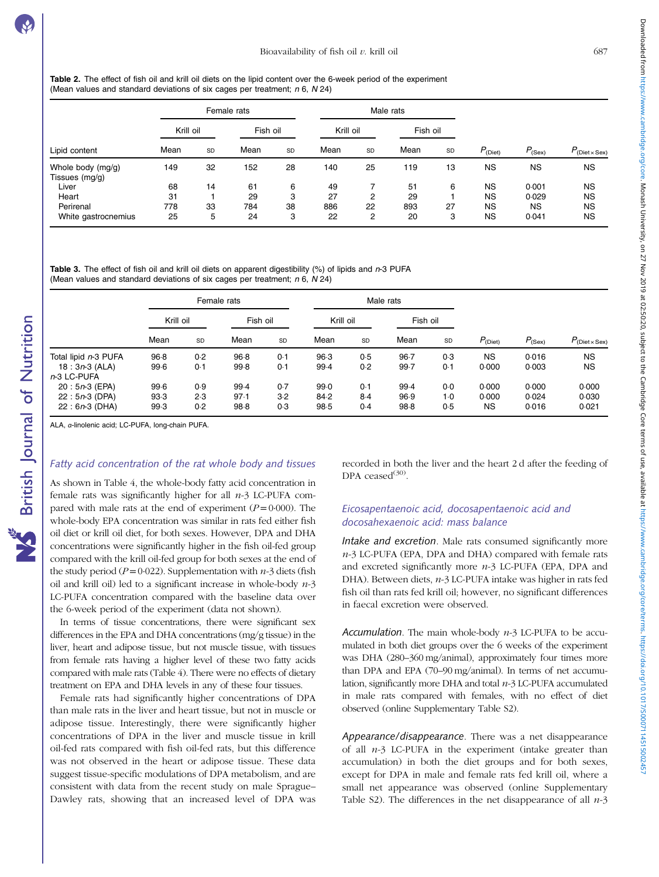<span id="page-3-0"></span>Table 2. The effect of fish oil and krill oil diets on the lipid content over the 6-week period of the experiment (Mean values and standard deviations of six cages per treatment;  $n 6$ ,  $N 24$ )

|                                     |           |    | Female rats |    |           |    | Male rats |    |              |             |                           |
|-------------------------------------|-----------|----|-------------|----|-----------|----|-----------|----|--------------|-------------|---------------------------|
|                                     | Krill oil |    | Fish oil    |    | Krill oil |    | Fish oil  |    |              |             |                           |
| Lipid content                       | Mean      | SD | Mean        | SD | Mean      | SD | Mean      | SD | $P_{(Dict)}$ | $P_{(Sex)}$ | $P_{\text{(Diet x Sex)}}$ |
| Whole body (mg/g)<br>Tissues (mg/g) | 149       | 32 | 152         | 28 | 140       | 25 | 119       | 13 | NS           | <b>NS</b>   | <b>NS</b>                 |
| Liver                               | 68        | 14 | 61          | 6  | 49        |    | 51        | 6  | <b>NS</b>    | 0.001       | <b>NS</b>                 |
| Heart                               | 31        |    | 29          | 3  | 27        | 2  | 29        |    | <b>NS</b>    | 0.029       | NS                        |
| Perirenal                           | 778       | 33 | 784         | 38 | 886       | 22 | 893       | 27 | <b>NS</b>    | <b>NS</b>   | <b>NS</b>                 |
| White gastrocnemius                 | 25        | 5  | 24          | 3  | 22        | 2  | 20        | 3  | <b>NS</b>    | 0.041       | <b>NS</b>                 |

Table 3. The effect of fish oil and krill oil diets on apparent digestibility  $(\%)$  of lipids and n-3 PUFA (Mean values and standard deviations of six cages per treatment;  $n 6$ ,  $N 24$ )

|                      |           |     | Female rats |     |           |     | Male rats |       |              |             |                           |
|----------------------|-----------|-----|-------------|-----|-----------|-----|-----------|-------|--------------|-------------|---------------------------|
|                      | Krill oil |     | Fish oil    |     | Krill oil |     | Fish oil  |       |              |             |                           |
|                      | Mean      | SD  | Mean        | SD  | Mean      | SD  | Mean      | SD    | $P_{(Dist)}$ | $P_{(Sex)}$ | $P_{\text{(Diet x Sex)}}$ |
| Total lipid n-3 PUFA | 96.8      | 0.2 | 96.8        | 0.1 | 96.3      | 0.5 | $96 - 7$  | 0.3   | <b>NS</b>    | 0.016       | ΝS                        |
| $18: 3n-3$ (ALA)     | 99.6      | 0.1 | 99.8        | 0.1 | 99.4      | 0.2 | 99.7      | 0.1   | 0.000        | 0.003       | ΝS                        |
| n-3 LC-PUFA          |           |     |             |     |           |     |           |       |              |             |                           |
| $20:5n-3$ (EPA)      | 99.6      | 0.9 | $99-4$      | 0.7 | 99.0      | 0.1 | 99.4      | 0.0   | 0.000        | 0.000       | 0.000                     |
| $22: 5n-3$ (DPA)     | 93.3      | 2.3 | 97.1        | 3.2 | 84.2      | 8.4 | 96.9      | $1-0$ | 0.000        | 0.024       | 0.030                     |
| $22: 6n-3$ (DHA)     | 99.3      | 0.2 | 98.8        | 0.3 | 98.5      | 0.4 | 98.8      | 0.5   | <b>NS</b>    | 0.016       | 0.021                     |

ALA, α-linolenic acid; LC-PUFA, long-chain PUFA.

### Fatty acid concentration of the rat whole body and tissues

As shown in [Table 4](#page-4-0), the whole-body fatty acid concentration in female rats was significantly higher for all  $n-3$  LC-PUFA compared with male rats at the end of experiment  $(P=0.000)$ . The whole-body EPA concentration was similar in rats fed either fish oil diet or krill oil diet, for both sexes. However, DPA and DHA concentrations were significantly higher in the fish oil-fed group compared with the krill oil-fed group for both sexes at the end of the study period ( $P=0.022$ ). Supplementation with  $n-3$  diets (fish oil and krill oil) led to a significant increase in whole-body  $n-3$ LC-PUFA concentration compared with the baseline data over the 6-week period of the experiment (data not shown).

In terms of tissue concentrations, there were significant sex differences in the EPA and DHA concentrations (mg/g tissue) in the liver, heart and adipose tissue, but not muscle tissue, with tissues from female rats having a higher level of these two fatty acids compared with male rats ([Table 4\)](#page-4-0). There were no effects of dietary treatment on EPA and DHA levels in any of these four tissues.

Female rats had significantly higher concentrations of DPA than male rats in the liver and heart tissue, but not in muscle or adipose tissue. Interestingly, there were significantly higher concentrations of DPA in the liver and muscle tissue in krill oil-fed rats compared with fish oil-fed rats, but this difference was not observed in the heart or adipose tissue. These data suggest tissue-specific modulations of DPA metabolism, and are consistent with data from the recent study on male Sprague– Dawley rats, showing that an increased level of DPA was

recorded in both the liver and the heart 2 d after the feeding of DPA ceased $^{(30)}$  $^{(30)}$  $^{(30)}$ .

## Eicosapentaenoic acid, docosapentaenoic acid and docosahexaenoic acid: mass balance

Intake and excretion. Male rats consumed significantly more  $n-3$  LC-PUFA (EPA, DPA and DHA) compared with female rats and excreted significantly more  $n-3$  LC-PUFA (EPA, DPA and DHA). Between diets, n-3 LC-PUFA intake was higher in rats fed fish oil than rats fed krill oil; however, no significant differences in faecal excretion were observed.

Accumulation. The main whole-body  $n-3$  LC-PUFA to be accumulated in both diet groups over the 6 weeks of the experiment was DHA (280–360 mg/animal), approximately four times more than DPA and EPA (70–90 mg/animal). In terms of net accumulation, significantly more DHA and total  $n-3$  LC-PUFA accumulated in male rats compared with females, with no effect of diet observed (online Supplementary Table S2).

Appearance/disappearance. There was a net disappearance of all  $n-3$  LC-PUFA in the experiment (intake greater than accumulation) in both the diet groups and for both sexes, except for DPA in male and female rats fed krill oil, where a small net appearance was observed (online Supplementary Table S2). The differences in the net disappearance of all  $n-3$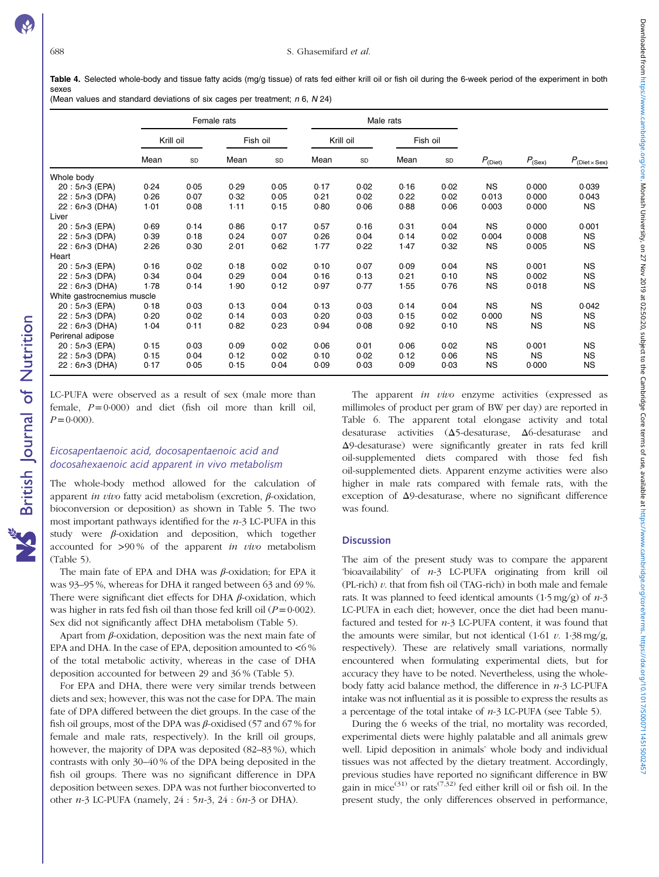<span id="page-4-0"></span>Table 4. Selected whole-body and tissue fatty acids (mg/g tissue) of rats fed either krill oil or fish oil during the 6-week period of the experiment in both sexes (Mean values and standard deviations of six cages per treatment;  $n 6$ ,  $N 24$ )

Female rats Male rats Krill oil Fish oil Krill oil Fish oil Mean sp Mean sp Mean sp Mean sp  $P_{(\text{Diet})}$   $P_{(\text{Sex})}$   $P_{(\text{Diet} \times \text{Sex})}$ Whole body 20 : 5n-3 (EPA) 0·24 0·05 0·29 0·05 0·17 0·02 0·16 0·02 NS 0·000 0·039 22 : 5n-3 (DPA) 0·26 0·07 0·32 0·05 0·21 0·02 0·22 0·02 0·013 0·000 0·043 22 : 6n-3 (DHA) 1·01 0·08 1·11 0·15 0·80 0·06 0·88 0·06 0·003 0·000 NS Liver 20 : 5n-3 (EPA) 0·69 0·14 0·86 0·17 0·57 0·16 0·31 0·04 NS 0·000 0·001 22 : 5n-3 (DPA) 0·39 0·18 0·24 0·07 0·26 0·04 0·14 0·02 0·004 0·008 NS 22 : 6n-3 (DHA) 2·26 0·30 2·01 0·62 1·77 0·22 1·47 0·32 NS 0·005 NS Heart<br> $20:5n-3$  (EPA) 20 : 5n-3 (EPA) 0·16 0·02 0·18 0·02 0·10 0·07 0·09 0·04 NS 0·001 NS 22 : 5n-3 (DPA) 0·34 0·04 0·29 0·04 0·16 0·13 0·21 0·10 NS 0·002 NS 22 : 6n-3 (DHA) 1·78 0·14 1·90 0·12 0·97 0·77 1·55 0·76 NS White gastrocnemius muscle 20 : 5n-3 (EPA) 0·18 0·03 0·13 0·04 0·13 0·03 0·14 0·04 NS NS 0·042 22 : 5n-3 (DPA) 0·20 0·02 0·14 0·03 0·20 0·03 0·15 0·02 0·000 NS NS 22 : 6n-3 (DHA) 1·04 0·11 0·82 0·23 0·94 0·08 0·92 0·10 NS NS NS Perirenal adipose 20 : 5n-3 (EPA) 0·15 0·03 0·09 0·02 0·06 0·01 0·06 0·02 NS 0·001 NS 22 : 5n-3 (DPA) 0·15 0·04 0·12 0·02 0·10 0·02 0·12 0·06 NS NS NS 22 : 6n-3 (DHA) 0·17 0·05 0·15 0·04 0·09 0·03 0·09 0·03 NS 0·000 NS

LC-PUFA were observed as a result of sex (male more than female,  $P=0.000$ ) and diet (fish oil more than krill oil,  $P=0.000$ ).

### Eicosapentaenoic acid, docosapentaenoic acid and docosahexaenoic acid apparent in vivo metabolism

The whole-body method allowed for the calculation of apparent *in vivo* fatty acid metabolism (excretion,  $\beta$ -oxidation, bioconversion or deposition) as shown in [Table 5.](#page-5-0) The two most important pathways identified for the  $n-3$  LC-PUFA in this study were  $\beta$ -oxidation and deposition, which together accounted for >90% of the apparent in vivo metabolism ([Table 5](#page-5-0)).

The main fate of EPA and DHA was  $\beta$ -oxidation; for EPA it was 93–95 %, whereas for DHA it ranged between 63 and 69 %. There were significant diet effects for DHA  $\beta$ -oxidation, which was higher in rats fed fish oil than those fed krill oil  $(P=0.002)$ . Sex did not significantly affect DHA metabolism [\(Table 5](#page-5-0)).

Apart from  $\beta$ -oxidation, deposition was the next main fate of EPA and DHA. In the case of EPA, deposition amounted to  $<6\%$ of the total metabolic activity, whereas in the case of DHA deposition accounted for between 29 and 36 % [\(Table 5\)](#page-5-0).

For EPA and DHA, there were very similar trends between diets and sex; however, this was not the case for DPA. The main fate of DPA differed between the diet groups. In the case of the fish oil groups, most of the DPA was  $\beta$ -oxidised (57 and 67 % for female and male rats, respectively). In the krill oil groups, however, the majority of DPA was deposited (82–83 %), which contrasts with only 30–40 % of the DPA being deposited in the fish oil groups. There was no significant difference in DPA deposition between sexes. DPA was not further bioconverted to other  $n-3$  LC-PUFA (namely,  $24 : 5n-3$ ,  $24 : 6n-3$  or DHA).

The apparent in vivo enzyme activities (expressed as millimoles of product per gram of BW per day) are reported in [Table 6](#page-5-0). The apparent total elongase activity and total desaturase activities (Δ5-desaturase, Δ6-desaturase and Δ9-desaturase) were significantly greater in rats fed krill oil-supplemented diets compared with those fed fish oil-supplemented diets. Apparent enzyme activities were also higher in male rats compared with female rats, with the exception of Δ9-desaturase, where no significant difference was found.

### **Discussion**

The aim of the present study was to compare the apparent 'bioavailability' of n-3 LC-PUFA originating from krill oil (PL-rich)  $v$ . that from fish oil (TAG-rich) in both male and female rats. It was planned to feed identical amounts  $(1.5 \text{ mg/g})$  of  $n-3$ LC-PUFA in each diet; however, once the diet had been manufactured and tested for  $n-3$  LC-PUFA content, it was found that the amounts were similar, but not identical  $(1.61 \ v. 1.38 \text{ mg/g})$ respectively). These are relatively small variations, normally encountered when formulating experimental diets, but for accuracy they have to be noted. Nevertheless, using the wholebody fatty acid balance method, the difference in  $n-3$  LC-PUFA intake was not influential as it is possible to express the results as a percentage of the total intake of  $n-3$  LC-PUFA (see [Table 5\)](#page-5-0).

During the 6 weeks of the trial, no mortality was recorded, experimental diets were highly palatable and all animals grew well. Lipid deposition in animals' whole body and individual tissues was not affected by the dietary treatment. Accordingly, previous studies have reported no significant difference in BW gain in mice<sup>[\(31\)](#page-8-0)</sup> or rats<sup>([7](#page-7-0),[32\)](#page-8-0)</sup> fed either krill oil or fish oil. In the present study, the only differences observed in performance,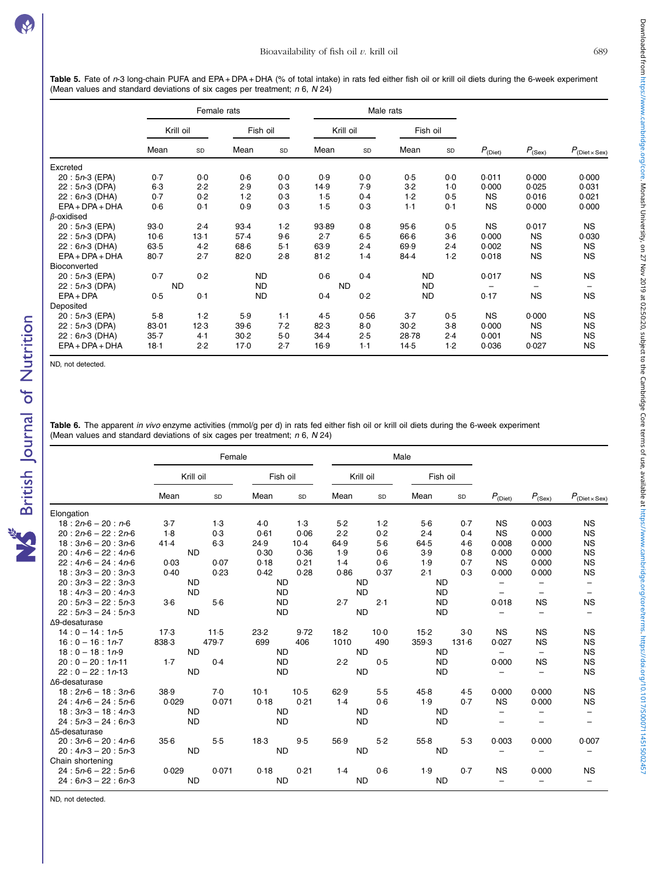<span id="page-5-0"></span>Table 5. Fate of n-3 long-chain PUFA and EPA + DPA + DHA (% of total intake) in rats fed either fish oil or krill oil diets during the 6-week experiment (Mean values and standard deviations of six cages per treatment;  $n 6$ ,  $N 24$ )

|                   |           | Female rats |           |       |           | Male rats |           |       |              |                          |                                       |
|-------------------|-----------|-------------|-----------|-------|-----------|-----------|-----------|-------|--------------|--------------------------|---------------------------------------|
|                   | Krill oil |             | Fish oil  |       | Krill oil |           | Fish oil  |       |              |                          |                                       |
|                   | Mean      | SD          | Mean      | SD    | Mean      | SD        | Mean      | SD    | $P_{(Dict)}$ | $P_{(Sex)}$              | $P_{(\text{Diet} \times \text{Sex})}$ |
| Excreted          |           |             |           |       |           |           |           |       |              |                          |                                       |
| $20: 5n-3$ (EPA)  | 0.7       | 0.0         | 0.6       | 0.0   | 0.9       | 0.0       | 0.5       | 0.0   | 0.011        | 0.000                    | 0.000                                 |
| $22: 5n-3$ (DPA)  | $6-3$     | 2.2         | 2.9       | 0.3   | 14.9      | 7.9       | 3.2       | $1-0$ | 0.000        | 0.025                    | 0.031                                 |
| $22: 6n-3$ (DHA)  | 0.7       | 0.2         | 1.2       | 0.3   | 1.5       | 0.4       | 1.2       | 0.5   | <b>NS</b>    | 0.016                    | 0.021                                 |
| $EPA + DPA + DHA$ | 0.6       | 0.1         | 0.9       | 0.3   | 1.5       | 0.3       | $1-1$     | 0.1   | <b>NS</b>    | 0.000                    | 0.000                                 |
| $\beta$ -oxidised |           |             |           |       |           |           |           |       |              |                          |                                       |
| $20: 5n-3$ (EPA)  | 93.0      | 2.4         | 93.4      | $1-2$ | 93.89     | 0.8       | $95-6$    | 0.5   | <b>NS</b>    | 0.017                    | <b>NS</b>                             |
| $22: 5n-3$ (DPA)  | $10-6$    | $13-1$      | 57.4      | $9-6$ | 2.7       | 6.5       | 66.6      | $3-6$ | 0.000        | <b>NS</b>                | 0.030                                 |
| $22: 6n-3$ (DHA)  | 63.5      | 4.2         | 68.6      | $5-1$ | 63.9      | 2.4       | 69.9      | 2.4   | 0.002        | <b>NS</b>                | <b>NS</b>                             |
| $EPA + DPA + DHA$ | $80 - 7$  | 2.7         | 82.0      | 2.8   | 81.2      | 1.4       | 84.4      | $1-2$ | 0.018        | <b>NS</b>                | <b>NS</b>                             |
| Bioconverted      |           |             |           |       |           |           |           |       |              |                          |                                       |
| $20: 5n-3$ (EPA)  | 0.7       | 0.2         | <b>ND</b> |       | 0.6       | 0.4       | <b>ND</b> |       | 0.017        | <b>NS</b>                | <b>NS</b>                             |
| $22: 5n-3$ (DPA)  | <b>ND</b> |             | ND.       |       | <b>ND</b> |           | <b>ND</b> |       |              | $\overline{\phantom{m}}$ |                                       |
| $EPA + DPA$       | 0.5       | 0.1         | <b>ND</b> |       | 0.4       | 0.2       | <b>ND</b> |       | 0.17         | <b>NS</b>                | <b>NS</b>                             |
| Deposited         |           |             |           |       |           |           |           |       |              |                          |                                       |
| $20: 5n-3$ (EPA)  | $5-8$     | 1.2         | 5.9       | $1-1$ | 4.5       | 0.56      | $3-7$     | 0.5   | <b>NS</b>    | 0.000                    | <b>NS</b>                             |
| $22: 5n-3$ (DPA)  | 83-01     | 12.3        | $39-6$    | 7.2   | 82.3      | $8-0$     | 30.2      | $3-8$ | 0.000        | <b>NS</b>                | <b>NS</b>                             |
| $22: 6n-3$ (DHA)  | $35 - 7$  | 4.1         | $30-2$    | 5.0   | 34.4      | 2.5       | 28.78     | 2.4   | 0.001        | <b>NS</b>                | <b>NS</b>                             |
| $EPA + DPA + DHA$ | $18-1$    | 2.2         | 17.0      | 2.7   | 16.9      | $1-1$     | 14.5      | $1-2$ | 0.036        | 0.027                    | <b>NS</b>                             |

ND, not detected.

**NS** British Journal of Nutrition

Table 6. The apparent in vivo enzyme activities (mmol/g per d) in rats fed either fish oil or krill oil diets during the 6-week experiment (Mean values and standard deviations of six cages per treatment; n 6, N 24)

|                       |           |       |           | Male      |           |           |           |           |                          |                          |                                       |
|-----------------------|-----------|-------|-----------|-----------|-----------|-----------|-----------|-----------|--------------------------|--------------------------|---------------------------------------|
|                       | Krill oil |       | Fish oil  |           |           |           |           | Krill oil |                          | Fish oil                 |                                       |
|                       | Mean      | SD    | Mean      | SD        | Mean      | SD        | Mean      | SD        | $P_{(Diet)}$             | $P_{(Sex)}$              | $P_{(\text{Diet} \times \text{Sex})}$ |
| Elongation            |           |       |           |           |           |           |           |           |                          |                          |                                       |
| $18:2n-6-20:n-6$      | $3-7$     | $1-3$ | 4.0       | 1.3       | $5-2$     | 1.2       | 5.6       | 0.7       | <b>NS</b>                | 0.003                    | <b>NS</b>                             |
| $20: 2n-6 - 22: 2n-6$ | 1.8       | 0.3   | 0.61      | 0.06      | 2.2       | 0.2       | 2.4       | 0.4       | <b>NS</b>                | 0.000                    | <b>NS</b>                             |
| $18:3n-6-20:3n-6$     | 41.4      | $6-3$ | 24.9      | $10-4$    | 64.9      | $5-6$     | 64.5      | 4.6       | 0.008                    | 0.000                    | <b>NS</b>                             |
| $20: 4n-6 - 22: 4n-6$ | <b>ND</b> |       | 0.30      | 0.36      | 1.9       | 0.6       | 3.9       | 0.8       | 0.000                    | 0.000                    | <b>NS</b>                             |
| $22: 4n-6 - 24: 4n-6$ | 0.03      | 0.07  | 0.18      | 0.21      | 1.4       | 0.6       | 1.9       | 0.7       | <b>NS</b>                | 0.000                    | <b>NS</b>                             |
| $18:3n-3-20:3n-3$     | 0.40      | 0.23  | 0.42      | 0.28      | 0.86      | 0.37      | 2.1       | 0.3       | 0.000                    | 0.000                    | <b>NS</b>                             |
| $20: 3n-3 - 22: 3n-3$ | <b>ND</b> |       | <b>ND</b> |           | <b>ND</b> |           | <b>ND</b> |           | $\overline{\phantom{m}}$ | —                        | $\qquad \qquad -$                     |
| $18: 4n-3 - 20: 4n-3$ | <b>ND</b> |       | <b>ND</b> |           | <b>ND</b> |           | <b>ND</b> |           | $\overline{\phantom{m}}$ | $\qquad \qquad -$        | $\overline{\phantom{m}}$              |
| $20:5n-3-22:5n-3$     | $3-6$     | 5.6   | <b>ND</b> |           | 2.7       | 2.1       | <b>ND</b> |           | 0.018                    | <b>NS</b>                | <b>NS</b>                             |
| $22: 5n-3 - 24: 5n-3$ | <b>ND</b> |       | <b>ND</b> |           | <b>ND</b> |           | <b>ND</b> |           | $\overline{\phantom{m}}$ | $\overline{\phantom{0}}$ | $\overline{\phantom{m}}$              |
| $\Delta$ 9-desaturase |           |       |           |           |           |           |           |           |                          |                          |                                       |
| $14:0 - 14:1n-5$      | 17.3      | 11.5  | 23.2      | 9.72      | 18.2      | $10-0$    | $15-2$    | $3-0$     | <b>NS</b>                | <b>NS</b>                | <b>NS</b>                             |
| $16:0 - 16:1n-7$      | 838.3     | 479.7 | 699       | 406       | 1010      | 490       | 359.3     | 131.6     | 0.027                    | <b>NS</b>                | <b>NS</b>                             |
| $18:0 - 18:1n-9$      | <b>ND</b> |       |           | <b>ND</b> |           | <b>ND</b> | <b>ND</b> |           | $\qquad \qquad -$        | $\overline{\phantom{m}}$ | <b>NS</b>                             |
| $20:0-20:1n-11$       | 1.7       | 0.4   | <b>ND</b> |           | 2.2       | 0.5       | <b>ND</b> |           | 0.000                    | <b>NS</b>                | <b>NS</b>                             |
| $22:0-22:1n-13$       | <b>ND</b> |       | <b>ND</b> |           | <b>ND</b> |           | <b>ND</b> |           | $\overline{\phantom{m}}$ | $\overline{\phantom{m}}$ | <b>NS</b>                             |
| $\Delta$ 6-desaturase |           |       |           |           |           |           |           |           |                          |                          |                                       |
| $18:2n-6-18:3n-6$     | 38.9      | 7.0   | $10-1$    | $10-5$    | 62.9      | 5.5       | 45.8      | 4.5       | 0.000                    | 0.000                    | <b>NS</b>                             |
| $24: 4n-6 - 24: 5n-6$ | 0.029     | 0.071 | 0.18      | 0.21      | 1.4       | 0.6       | 1.9       | 0.7       | <b>NS</b>                | 0.000                    | <b>NS</b>                             |
| $18:3n-3-18:4n-3$     | <b>ND</b> |       | <b>ND</b> |           | <b>ND</b> |           | <b>ND</b> |           | $\overline{\phantom{0}}$ | —                        | $\overline{\phantom{m}}$              |
| $24:5n-3-24:6n-3$     | <b>ND</b> |       | <b>ND</b> |           |           | <b>ND</b> | <b>ND</b> |           |                          | —                        | $\qquad \qquad -$                     |
| $\Delta$ 5-desaturase |           |       |           |           |           |           |           |           |                          |                          |                                       |
| $20: 3n-6 - 20: 4n-6$ | 356       | $5-5$ | 18.3      | 9.5       | 56.9      | $5-2$     | 55.8      | 5.3       | 0.003                    | 0.000                    | 0.007                                 |
| $20: 4n-3 - 20: 5n-3$ | <b>ND</b> |       | <b>ND</b> |           |           | <b>ND</b> | <b>ND</b> |           | $\overline{\phantom{m}}$ | $\qquad \qquad -$        | $\overline{\phantom{m}}$              |
| Chain shortening      |           |       |           |           |           |           |           |           |                          |                          |                                       |
| $24:5n-6-22:5n-6$     | 0.029     | 0.071 | 0.18      | 0.21      | 1.4       | 0.6       | 1.9       | 0.7       | <b>NS</b>                | 0.000                    | <b>NS</b>                             |
| $24:6n-3-22:6n-3$     | <b>ND</b> |       | <b>ND</b> |           |           | <b>ND</b> | <b>ND</b> |           |                          |                          | $\overline{\phantom{m}}$              |

ND, not detected.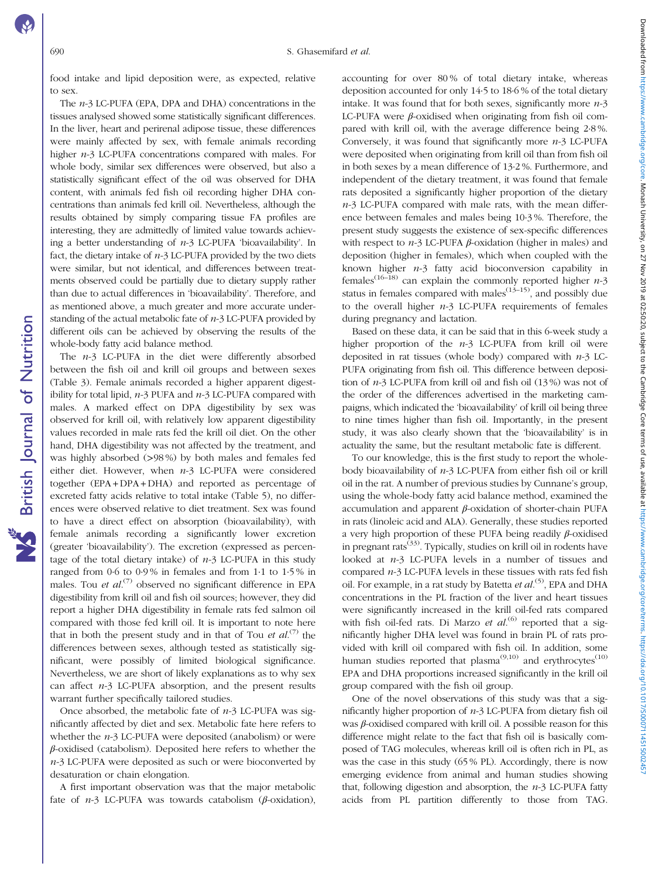**NS** British Journal of Nutrition

food intake and lipid deposition were, as expected, relative to sex.

The n-3 LC-PUFA (EPA, DPA and DHA) concentrations in the tissues analysed showed some statistically significant differences. In the liver, heart and perirenal adipose tissue, these differences were mainly affected by sex, with female animals recording higher n-3 LC-PUFA concentrations compared with males. For whole body, similar sex differences were observed, but also a statistically significant effect of the oil was observed for DHA content, with animals fed fish oil recording higher DHA concentrations than animals fed krill oil. Nevertheless, although the results obtained by simply comparing tissue FA profiles are interesting, they are admittedly of limited value towards achieving a better understanding of  $n-3$  LC-PUFA 'bioavailability'. In fact, the dietary intake of  $n-3$  LC-PUFA provided by the two diets were similar, but not identical, and differences between treatments observed could be partially due to dietary supply rather than due to actual differences in 'bioavailability'. Therefore, and as mentioned above, a much greater and more accurate understanding of the actual metabolic fate of  $n-3$  LC-PUFA provided by different oils can be achieved by observing the results of the whole-body fatty acid balance method.

The  $n-3$  LC-PUFA in the diet were differently absorbed between the fish oil and krill oil groups and between sexes ([Table 3\)](#page-3-0). Female animals recorded a higher apparent digestibility for total lipid,  $n-3$  PUFA and  $n-3$  LC-PUFA compared with males. A marked effect on DPA digestibility by sex was observed for krill oil, with relatively low apparent digestibility values recorded in male rats fed the krill oil diet. On the other hand, DHA digestibility was not affected by the treatment, and was highly absorbed (>98 %) by both males and females fed either diet. However, when  $n-3$  LC-PUFA were considered together (EPA + DPA + DHA) and reported as percentage of excreted fatty acids relative to total intake ([Table 5](#page-5-0)), no differences were observed relative to diet treatment. Sex was found to have a direct effect on absorption (bioavailability), with female animals recording a significantly lower excretion (greater 'bioavailability'). The excretion (expressed as percentage of the total dietary intake) of  $n-3$  LC-PUFA in this study ranged from 0·6 to 0·9 % in females and from 1·1 to 1·5 % in males. Tou et al.<sup>([7](#page-7-0))</sup> observed no significant difference in EPA digestibility from krill oil and fish oil sources; however, they did report a higher DHA digestibility in female rats fed salmon oil compared with those fed krill oil. It is important to note here that in both the present study and in that of Tou et  $al^{(7)}$  $al^{(7)}$  $al^{(7)}$  the differences between sexes, although tested as statistically significant, were possibly of limited biological significance. Nevertheless, we are short of likely explanations as to why sex can affect  $n-3$  LC-PUFA absorption, and the present results warrant further specifically tailored studies.

Once absorbed, the metabolic fate of  $n-3$  LC-PUFA was significantly affected by diet and sex. Metabolic fate here refers to whether the  $n-3$  LC-PUFA were deposited (anabolism) or were  $\beta$ -oxidised (catabolism). Deposited here refers to whether the n-3 LC-PUFA were deposited as such or were bioconverted by desaturation or chain elongation.

A first important observation was that the major metabolic fate of  $n-3$  LC-PUFA was towards catabolism ( $\beta$ -oxidation), accounting for over 80 % of total dietary intake, whereas deposition accounted for only 14·5 to 18·6 % of the total dietary intake. It was found that for both sexes, significantly more  $n-3$ LC-PUFA were  $\beta$ -oxidised when originating from fish oil compared with krill oil, with the average difference being 2·8 %. Conversely, it was found that significantly more  $n-3$  LC-PUFA were deposited when originating from krill oil than from fish oil in both sexes by a mean difference of 13·2 %. Furthermore, and independent of the dietary treatment, it was found that female rats deposited a significantly higher proportion of the dietary  $n-3$  LC-PUFA compared with male rats, with the mean difference between females and males being 10·3 %. Therefore, the present study suggests the existence of sex-specific differences with respect to  $n-3$  LC-PUFA  $\beta$ -oxidation (higher in males) and deposition (higher in females), which when coupled with the known higher  $n-3$  fatty acid bioconversion capability in females<sup>([16](#page-8-0)–[18\)](#page-8-0)</sup> can explain the commonly reported higher  $n-3$ status in females compared with males<sup> $(13-15)$  $(13-15)$  $(13-15)$  $(13-15)$ </sup>, and possibly due to the overall higher  $n-3$  LC-PUFA requirements of females during pregnancy and lactation.

Based on these data, it can be said that in this 6-week study a higher proportion of the  $n-3$  LC-PUFA from krill oil were deposited in rat tissues (whole body) compared with  $n-3$  LC-PUFA originating from fish oil. This difference between deposition of n-3 LC-PUFA from krill oil and fish oil (13 %) was not of the order of the differences advertised in the marketing campaigns, which indicated the 'bioavailability' of krill oil being three to nine times higher than fish oil. Importantly, in the present study, it was also clearly shown that the 'bioavailability' is in actuality the same, but the resultant metabolic fate is different.

To our knowledge, this is the first study to report the wholebody bioavailability of  $n-3$  LC-PUFA from either fish oil or krill oil in the rat. A number of previous studies by Cunnane's group, using the whole-body fatty acid balance method, examined the accumulation and apparent β-oxidation of shorter-chain PUFA in rats (linoleic acid and ALA). Generally, these studies reported a very high proportion of these PUFA being readily β-oxidised in pregnant rats<sup> $(33)$  $(33)$ </sup>. Typically, studies on krill oil in rodents have looked at n-3 LC-PUFA levels in a number of tissues and compared  $n-3$  LC-PUFA levels in these tissues with rats fed fish oil. For example, in a rat study by Batetta et al.<sup>[\(5](#page-7-0))</sup>, EPA and DHA concentrations in the PL fraction of the liver and heart tissues were significantly increased in the krill oil-fed rats compared with fish oil-fed rats. Di Marzo et  $al$ .<sup>([6\)](#page-7-0)</sup> reported that a significantly higher DHA level was found in brain PL of rats provided with krill oil compared with fish oil. In addition, some human studies reported that plasma<sup> $(9,10)$  $(9,10)$  $(9,10)$  $(9,10)$  $(9,10)$ </sup> and erythrocytes<sup>[\(10](#page-7-0))</sup> EPA and DHA proportions increased significantly in the krill oil group compared with the fish oil group.

One of the novel observations of this study was that a significantly higher proportion of  $n-3$  LC-PUFA from dietary fish oil was  $\beta$ -oxidised compared with krill oil. A possible reason for this difference might relate to the fact that fish oil is basically composed of TAG molecules, whereas krill oil is often rich in PL, as was the case in this study (65 % PL). Accordingly, there is now emerging evidence from animal and human studies showing that, following digestion and absorption, the  $n-3$  LC-PUFA fatty acids from PL partition differently to those from TAG.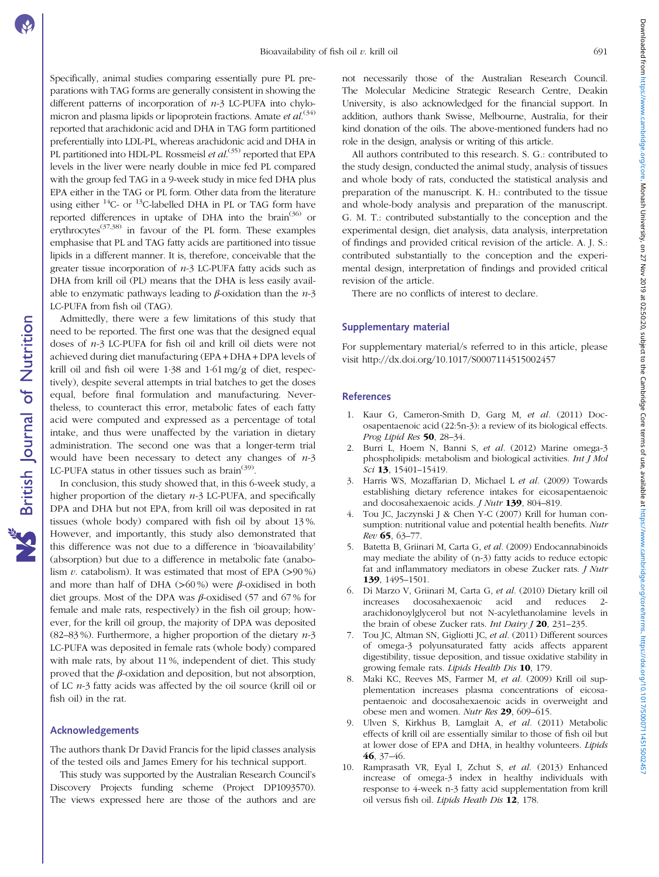<span id="page-7-0"></span>Specifically, animal studies comparing essentially pure PL preparations with TAG forms are generally consistent in showing the different patterns of incorporation of  $n-3$  LC-PUFA into chylo-micron and plasma lipids or lipoprotein fractions. Amate et al.<sup>[\(34](#page-8-0))</sup> reported that arachidonic acid and DHA in TAG form partitioned preferentially into LDL-PL, whereas arachidonic acid and DHA in PL partitioned into HDL-PL. Rossmeisl et al.<sup>([35](#page-8-0))</sup> reported that EPA levels in the liver were nearly double in mice fed PL compared with the group fed TAG in a 9-week study in mice fed DHA plus EPA either in the TAG or PL form. Other data from the literature using either  $14C$ - or  $13C$ -labelled DHA in PL or TAG form have reported differences in uptake of DHA into the brain<sup>([36](#page-8-0))</sup> or erythrocytes<sup>([37,38\)](#page-8-0)</sup> in favour of the PL form. These examples emphasise that PL and TAG fatty acids are partitioned into tissue lipids in a different manner. It is, therefore, conceivable that the greater tissue incorporation of  $n-3$  LC-PUFA fatty acids such as DHA from krill oil (PL) means that the DHA is less easily available to enzymatic pathways leading to  $\beta$ -oxidation than the  $n-3$ LC-PUFA from fish oil (TAG).

Admittedly, there were a few limitations of this study that need to be reported. The first one was that the designed equal doses of n-3 LC-PUFA for fish oil and krill oil diets were not achieved during diet manufacturing (EPA + DHA + DPA levels of krill oil and fish oil were 1·38 and 1·61 mg/g of diet, respectively), despite several attempts in trial batches to get the doses equal, before final formulation and manufacturing. Nevertheless, to counteract this error, metabolic fates of each fatty acid were computed and expressed as a percentage of total intake, and thus were unaffected by the variation in dietary administration. The second one was that a longer-term trial would have been necessary to detect any changes of  $n-3$ LC-PUFA status in other tissues such as brain<sup> $(39)$  $(39)$ </sup>.

In conclusion, this study showed that, in this 6-week study, a higher proportion of the dietary  $n-3$  LC-PUFA, and specifically DPA and DHA but not EPA, from krill oil was deposited in rat tissues (whole body) compared with fish oil by about 13 %. However, and importantly, this study also demonstrated that this difference was not due to a difference in 'bioavailability' (absorption) but due to a difference in metabolic fate (anabolism  $v$ . catabolism). It was estimated that most of EPA ( $>90\%$ ) and more than half of DHA  $(>60\%)$  were  $\beta$ -oxidised in both diet groups. Most of the DPA was  $\beta$ -oxidised (57 and 67% for female and male rats, respectively) in the fish oil group; however, for the krill oil group, the majority of DPA was deposited (82–83%). Furthermore, a higher proportion of the dietary  $n-3$ LC-PUFA was deposited in female rats (whole body) compared with male rats, by about 11 %, independent of diet. This study proved that the  $β$ -oxidation and deposition, but not absorption, of LC  $n-3$  fatty acids was affected by the oil source (krill oil or fish oil) in the rat.

### Acknowledgements

**NS** British Journal of Nutrition

The authors thank Dr David Francis for the lipid classes analysis of the tested oils and James Emery for his technical support.

This study was supported by the Australian Research Council's Discovery Projects funding scheme (Project DP1093570). The views expressed here are those of the authors and are

not necessarily those of the Australian Research Council. The Molecular Medicine Strategic Research Centre, Deakin University, is also acknowledged for the financial support. In addition, authors thank Swisse, Melbourne, Australia, for their kind donation of the oils. The above-mentioned funders had no role in the design, analysis or writing of this article.

All authors contributed to this research. S. G.: contributed to the study design, conducted the animal study, analysis of tissues and whole body of rats, conducted the statistical analysis and preparation of the manuscript. K. H.: contributed to the tissue and whole-body analysis and preparation of the manuscript. G. M. T.: contributed substantially to the conception and the experimental design, diet analysis, data analysis, interpretation of findings and provided critical revision of the article. A. J. S.: contributed substantially to the conception and the experimental design, interpretation of findings and provided critical revision of the article.

There are no conflicts of interest to declare.

### Supplementary material

For supplementary material/s referred to in this article, please visit<http://dx.doi.org/10.1017/S0007114515002457>

### References

- 1. Kaur G, Cameron-Smith D, Garg M, et al. (2011) Docosapentaenoic acid (22:5n-3): a review of its biological effects. Prog Lipid Res 50, 28-34.
- 2. Burri L, Hoem N, Banni S, et al. (2012) Marine omega-3 phospholipids: metabolism and biological activities. Int J Mol Sci 13, 15401-15419.
- 3. Harris WS, Mozaffarian D, Michael L et al. (2009) Towards establishing dietary reference intakes for eicosapentaenoic and docosahexaenoic acids. J Nutr 139, 804–819.
- 4. Tou JC, Jaczynski J & Chen Y-C (2007) Krill for human consumption: nutritional value and potential health benefits. Nutr Rev 65, 63–77.
- 5. Batetta B, Griinari M, Carta G, et al. (2009) Endocannabinoids may mediate the ability of (n-3) fatty acids to reduce ectopic fat and inflammatory mediators in obese Zucker rats. J Nutr 139, 1495–1501.
- 6. Di Marzo V, Griinari M, Carta G, et al. (2010) Dietary krill oil increases docosahexaenoic acid and reduces 2 arachidonoylglycerol but not N-acylethanolamine levels in the brain of obese Zucker rats. *Int Dairy J* **20**, 231–235.
- 7. Tou JC, Altman SN, Gigliotti JC, et al. (2011) Different sources of omega-3 polyunsaturated fatty acids affects apparent digestibility, tissue deposition, and tissue oxidative stability in growing female rats. Lipids Health Dis 10, 179.
- 8. Maki KC, Reeves MS, Farmer M, et al. (2009) Krill oil supplementation increases plasma concentrations of eicosapentaenoic and docosahexaenoic acids in overweight and obese men and women. Nutr Res 29, 609–615.
- 9. Ulven S, Kirkhus B, Lamglait A, et al. (2011) Metabolic effects of krill oil are essentially similar to those of fish oil but at lower dose of EPA and DHA, in healthy volunteers. Lipids 46, 37–46.
- 10. Ramprasath VR, Eyal I, Zchut S, et al. (2013) Enhanced increase of omega-3 index in healthy individuals with response to 4-week n-3 fatty acid supplementation from krill oil versus fish oil. Lipids Heath Dis 12, 178.